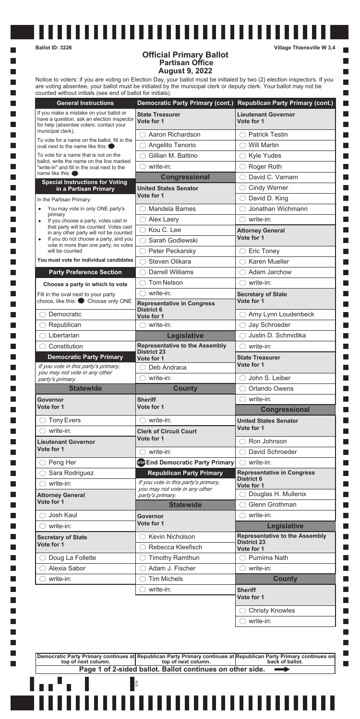$\overline{\phantom{a}}$ 

**I** 

l a

l a

|                                                                                                                                                                | Democratic Party Primary (cont.) Republican Party Primary (cont.)                                                 |                                                                 |
|----------------------------------------------------------------------------------------------------------------------------------------------------------------|-------------------------------------------------------------------------------------------------------------------|-----------------------------------------------------------------|
| If you make a mistake on your ballot or<br>have a question, ask an election inspector<br>for help (absentee voters: contact your                               | <b>State Treasurer</b><br>Vote for 1                                                                              | <b>Lieutenant Governor</b><br>Vote for 1                        |
| municipal clerk).                                                                                                                                              | Aaron Richardson                                                                                                  | <b>Patrick Testin</b><br>$($ )                                  |
| To vote for a name on the ballot, fill in the<br>oval next to the name like this: $\bullet$                                                                    | Angelito Tenorio                                                                                                  | <b>Will Martin</b><br>$( \ )$                                   |
| To vote for a name that is not on the<br>ballot, write the name on the line marked<br>"write-in" and fill in the oval next to the<br>name like this: $\bullet$ | Gillian M. Battino                                                                                                | $\bigcirc$ Kyle Yudes                                           |
|                                                                                                                                                                | write-in:<br>$($ )                                                                                                | Roger Roth<br>$( \ )$                                           |
|                                                                                                                                                                | <b>Congressional</b>                                                                                              | David C. Varnam                                                 |
| <b>Special Instructions for Voting</b><br>in a Partisan Primary                                                                                                | <b>United States Senator</b>                                                                                      | <b>Cindy Werner</b><br>()                                       |
| In the Partisan Primary:                                                                                                                                       | Vote for 1                                                                                                        | David D. King                                                   |
| You may vote in only ONE party's                                                                                                                               | <b>Mandela Barnes</b>                                                                                             | Jonathan Wichmann                                               |
| primary<br>If you choose a party, votes cast in<br>$\bullet$                                                                                                   | <b>Alex Lasry</b><br>$(\ )$                                                                                       | write-in:<br>( )                                                |
| that party will be counted. Votes cast                                                                                                                         | $\bigcirc$ Kou C. Lee                                                                                             | <b>Attorney General</b>                                         |
| in any other party will not be counted<br>If you do not choose a party, and you<br>$\bullet$                                                                   | Sarah Godlewski                                                                                                   | Vote for 1                                                      |
| vote in more than one party, no votes<br>will be counted                                                                                                       | Peter Peckarsky<br>( )                                                                                            | <b>Eric Toney</b><br>O                                          |
| You must vote for individual candidates                                                                                                                        | Steven Olikara                                                                                                    | <b>Karen Mueller</b>                                            |
| <b>Party Preference Section</b>                                                                                                                                | <b>Darrell Williams</b>                                                                                           | Adam Jarchow                                                    |
|                                                                                                                                                                | <b>Tom Nelson</b>                                                                                                 | $\bigcirc$ write-in:                                            |
| Choose a party in which to vote                                                                                                                                | write-in:<br>$\left( \quad \right)$                                                                               | <b>Secretary of State</b>                                       |
| Fill in the oval next to your party<br>choice, like this: Choose only ONE                                                                                      | <b>Representative in Congress</b><br><b>District 6</b>                                                            | Vote for 1                                                      |
| Democratic                                                                                                                                                     | Vote for 1                                                                                                        | Amy Lynn Loudenbeck<br>()                                       |
| Republican                                                                                                                                                     | $\bigcirc$ write-in:                                                                                              | Jay Schroeder<br>O                                              |
| Libertarian                                                                                                                                                    | Legislative                                                                                                       | Justin D. Schmidtka                                             |
| Constitution                                                                                                                                                   | <b>Representative to the Assembly</b><br><b>District 23</b>                                                       | write-in:                                                       |
| <b>Democratic Party Primary</b>                                                                                                                                | Vote for 1                                                                                                        | <b>State Treasurer</b>                                          |
| If you vote in this party's primary,<br>you may not vote in any other                                                                                          | Deb Andraca                                                                                                       | Vote for 1                                                      |
| party's primary.                                                                                                                                               | write-in:<br>$\left( \quad \right)$                                                                               | John S. Leiber<br>$($ )                                         |
| <b>Statewide</b>                                                                                                                                               | <b>County</b>                                                                                                     | <b>Orlando Owens</b>                                            |
| Governor                                                                                                                                                       | <b>Sheriff</b>                                                                                                    | write-in:<br>( )                                                |
| Vote for 1                                                                                                                                                     | Vote for 1                                                                                                        | <b>Congressional</b>                                            |
|                                                                                                                                                                |                                                                                                                   |                                                                 |
| <b>Tony Evers</b><br>( )                                                                                                                                       | write-in:<br>$($ )                                                                                                | <b>United States Senator</b>                                    |
| write-in:                                                                                                                                                      | <b>Clerk of Circuit Court</b>                                                                                     | Vote for 1                                                      |
| <b>Lieutenant Governor</b>                                                                                                                                     | Vote for 1                                                                                                        | Ron Johnson                                                     |
| Vote for 1                                                                                                                                                     | write-in:                                                                                                         | David Schroeder                                                 |
| Peng Her<br>$(\ )$                                                                                                                                             | son End Democratic Party Primary                                                                                  | $\bigcirc$ write-in:                                            |
| Sara Rodriguez                                                                                                                                                 | <b>Republican Party Primary</b>                                                                                   | <b>Representative in Congress</b>                               |
| write-in:                                                                                                                                                      | If you vote in this party's primary,                                                                              | <b>District 6</b>                                               |
|                                                                                                                                                                | you may not vote in any other                                                                                     | Vote for 1                                                      |
| <b>Attorney General</b><br>Vote for 1                                                                                                                          | party's primary.<br><b>Statewide</b>                                                                              | Douglas H. Mullenix<br>Glenn Grothman                           |
| Josh Kaul                                                                                                                                                      | Governor                                                                                                          | write-in:<br>$($ )                                              |
| write-in:                                                                                                                                                      | Vote for 1                                                                                                        |                                                                 |
| <b>Secretary of State</b>                                                                                                                                      | Kevin Nicholson                                                                                                   | <b>Legislative</b>                                              |
| Vote for 1                                                                                                                                                     | Rebecca Kleefisch                                                                                                 | <b>District 23</b>                                              |
|                                                                                                                                                                | <b>Timothy Ramthun</b>                                                                                            | Vote for 1<br>$\bigcirc$ Purnima Nath                           |
| Doug La Follette<br>Alexia Sabor                                                                                                                               | Adam J. Fischer                                                                                                   | write-in:<br>( )                                                |
| write-in:<br>$($ )                                                                                                                                             | <b>Tim Michels</b>                                                                                                |                                                                 |
|                                                                                                                                                                | write-in:<br>$\left( \begin{array}{c} \end{array} \right)$                                                        | <b>County</b>                                                   |
|                                                                                                                                                                |                                                                                                                   | <b>Sheriff</b><br>Vote for 1                                    |
|                                                                                                                                                                |                                                                                                                   | <b>Representative to the Assembly</b><br><b>Christy Knowles</b> |
|                                                                                                                                                                |                                                                                                                   | write-in:                                                       |
|                                                                                                                                                                |                                                                                                                   |                                                                 |
|                                                                                                                                                                | Democratic Party Primary continues at Republican Party Primary continues at Republican Party Primary continues on |                                                                 |
| top of next column.                                                                                                                                            | top of next column.<br>Page 1 of 2-sided ballot. Ballot continues on other side.                                  | back of ballot.                                                 |

**Ballot ID: 3226 Village Thiensville W 3,4**

П

 $\Box$ П

 $\Box$ 

m.

## **Official Primary Ballot Partisan Office August 9, 2022**

Notice to voters: if you are voting on Election Day, your ballot must be initialed by two (2) election inspectors. If you are voting absentee, your ballot must be initialed by the municipal clerk or deputy clerk. Your ballot may not be counted without initials (see end of ballot for initials).